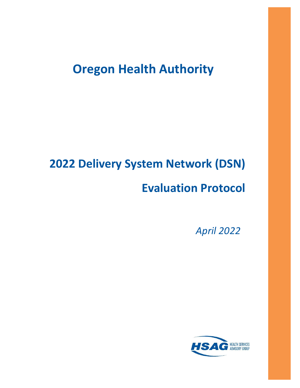# **Oregon Health Authority**

# **2022 Delivery System Network (DSN)**

# **Evaluation Protocol**

*April 2022*

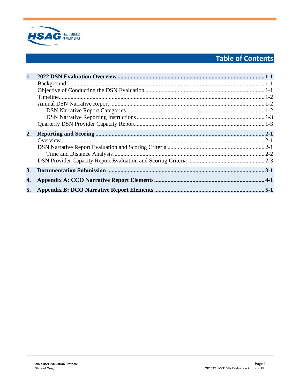

## **Table of Contents**

| 1. |  |
|----|--|
|    |  |
|    |  |
|    |  |
|    |  |
|    |  |
|    |  |
|    |  |
| 2. |  |
|    |  |
|    |  |
|    |  |
|    |  |
| 3. |  |
| 4. |  |
| 5. |  |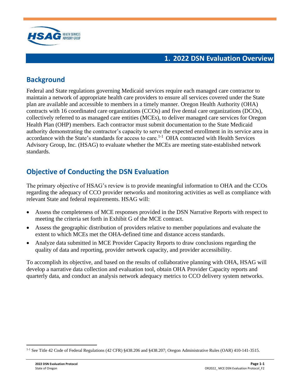

### **1. 2022 DSN Evaluation Overview**

### <span id="page-2-1"></span><span id="page-2-0"></span>**Background**

Federal and State regulations governing Medicaid services require each managed care contractor to maintain a network of appropriate health care providers to ensure all services covered under the State plan are available and accessible to members in a timely manner. Oregon Health Authority (OHA) contracts with 16 coordinated care organizations (CCOs) and five dental care organizations (DCOs), collectively referred to as managed care entities (MCEs), to deliver managed care services for Oregon Health Plan (OHP) members. Each contractor must submit documentation to the State Medicaid authority demonstrating the contractor's capacity to serve the expected enrollment in its service area in accordance with the State's standards for access to care.<sup>1-1</sup> OHA contracted with Health Services Advisory Group, Inc. (HSAG) to evaluate whether the MCEs are meeting state-established network standards.

### <span id="page-2-2"></span>**Objective of Conducting the DSN Evaluation**

The primary objective of HSAG's review is to provide meaningful information to OHA and the CCOs regarding the adequacy of CCO provider networks and monitoring activities as well as compliance with relevant State and federal requirements. HSAG will:

- Assess the completeness of MCE responses provided in the DSN Narrative Reports with respect to meeting the criteria set forth in Exhibit G of the MCE contract.
- Assess the geographic distribution of providers relative to member populations and evaluate the extent to which MCEs met the OHA-defined time and distance access standards.
- Analyze data submitted in MCE Provider Capacity Reports to draw conclusions regarding the quality of data and reporting, provider network capacity, and provider accessibility.

To accomplish its objective, and based on the results of collaborative planning with OHA, HSAG will develop a narrative data collection and evaluation tool, obtain OHA Provider Capacity reports and quarterly data, and conduct an analysis network adequacy metrics to CCO delivery system networks.

<sup>&</sup>lt;sup>1-1</sup> See Title 42 Code of Federal Regulations (42 CFR) §438.206 and §438.207; Oregon Administrative Rules (OAR) 410-141-3515.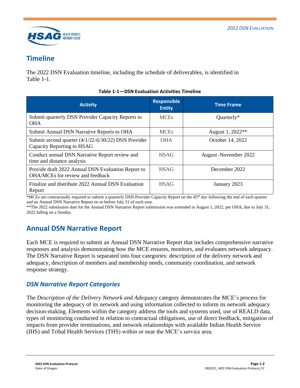

### <span id="page-3-0"></span>**Timeline**

<span id="page-3-3"></span>The 2022 DSN Evaluation timeline, including the schedule of deliverables, is identified in [Table 1-1.](#page-3-3)

| <b>Activity</b>                                                                        | <b>Responsible</b><br><b>Entity</b> | <b>Time Frame</b>            |
|----------------------------------------------------------------------------------------|-------------------------------------|------------------------------|
| Submit quarterly DSN Provider Capacity Reports to<br><b>OHA</b>                        | <b>MCEs</b>                         | Quarterly*                   |
| Submit Annual DSN Narrative Reports to OHA                                             | <b>MCEs</b>                         | August 1, 2022 <sup>**</sup> |
| Submit second quarter (4/1/22-6/30/22) DSN Provider<br>Capacity Reporting to HSAG      | <b>OHA</b>                          | October 14, 2022             |
| Conduct annual DSN Narrative Report review and<br>time and distance analysis           | <b>HSAG</b>                         | August-November 2022         |
| Provide draft 2022 Annual DSN Evaluation Report to<br>OHA/MCEs for review and feedback | <b>HSAG</b>                         | December 2022                |
| Finalize and distribute 2022 Annual DSN Evaluation<br>Report                           | <b>HSAG</b>                         | January 2023                 |

#### **Table 1-1—DSN Evaluation Activities Timeline**

\*MCEs are contractually required to submit a quarterly DSN Provider Capacity Report on the 45th day following the end of each quarter and an Annual DSN Narrative Report on or before July 31 of each year.

\*\*The 2022 submission date for the Annual DSN Narrative Report submission was extended to August 1, 2022, per OHA, due to July 31, 2022 falling on a Sunday.

### <span id="page-3-1"></span>**Annual DSN Narrative Report**

Each MCE is required to submit an Annual DSN Narrative Report that includes comprehensive narrative responses and analysis demonstrating how the MCE ensures, monitors, and evaluates network adequacy. The DSN Narrative Report is separated into four categories: description of the delivery network and adequacy, description of members and membership needs, community coordination, and network response strategy.

### <span id="page-3-2"></span>*DSN Narrative Report Categories*

The *Description of the Delivery Network and Adequacy* category demonstrates the MCE's process for monitoring the adequacy of its network and using information collected to inform its network adequacy decision-making. Elements within the category address the tools and systems used, use of REALD data, types of monitoring conducted in relation to contractual obligations, use of direct feedback, mitigation of impacts from provider terminations, and network relationships with available Indian Health Service (IHS) and Tribal Health Services (THS) within or near the MCE's service area.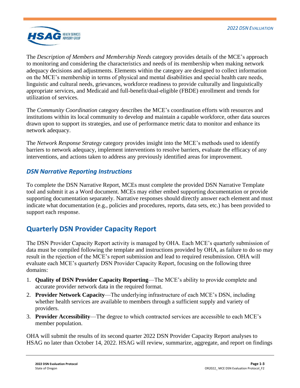

The *Description of Members and Membership Needs* category provides details of the MCE's approach to monitoring and considering the characteristics and needs of its membership when making network adequacy decisions and adjustments. Elements within the category are designed to collect information on the MCE's membership in terms of physical and mental disabilities and special health care needs, linguistic and cultural needs, grievances, workforce readiness to provide culturally and linguistically appropriate services, and Medicaid and full-benefit/dual-eligible (FBDE) enrollment and trends for utilization of services.

The *Community Coordination* category describes the MCE's coordination efforts with resources and institutions within its local community to develop and maintain a capable workforce, other data sources drawn upon to support its strategies, and use of performance metric data to monitor and enhance its network adequacy.

The *Network Response Strategy* category provides insight into the MCE's methods used to identify barriers to network adequacy, implement interventions to resolve barriers, evaluate the efficacy of any interventions, and actions taken to address any previously identified areas for improvement.

### <span id="page-4-0"></span>*DSN Narrative Reporting Instructions*

To complete the DSN Narrative Report, MCEs must complete the provided DSN Narrative Template tool and submit it as a Word document. MCEs may either embed supporting documentation or provide supporting documentation separately. Narrative responses should directly answer each element and must indicate what documentation (e.g., policies and procedures, reports, data sets, etc.) has been provided to support each response.

### <span id="page-4-1"></span>**Quarterly DSN Provider Capacity Report**

The DSN Provider Capacity Report activity is managed by OHA. Each MCE's quarterly submission of data must be compiled following the template and instructions provided by OHA, as failure to do so may result in the rejection of the MCE's report submission and lead to required resubmission. OHA will evaluate each MCE's quarterly DSN Provider Capacity Report, focusing on the following three domains:

- 1. **Quality of DSN Provider Capacity Reporting**—The MCE's ability to provide complete and accurate provider network data in the required format.
- 2. **Provider Network Capacity**—The underlying infrastructure of each MCE's DSN, including whether health services are available to members through a sufficient supply and variety of providers.
- 3. **Provider Accessibility**—The degree to which contracted services are accessible to each MCE's member population.

OHA will submit the results of its second quarter 2022 DSN Provider Capacity Report analyses to HSAG no later than October 14, 2022. HSAG will review, summarize, aggregate, and report on findings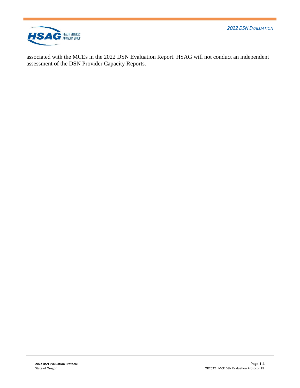*2022 DSN EVALUATION* 



associated with the MCEs in the 2022 DSN Evaluation Report. HSAG will not conduct an independent assessment of the DSN Provider Capacity Reports.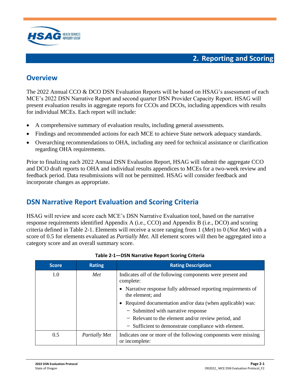

### <span id="page-6-1"></span><span id="page-6-0"></span>**Overview**

The 2022 Annual CCO & DCO DSN Evaluation Reports will be based on HSAG's assessment of each MCE's 2022 DSN Narrative Report and second quarter DSN Provider Capacity Report. HSAG will present evaluation results in aggregate reports for CCOs and DCOs, including appendices with results for individual MCEs. Each report will include:

- A comprehensive summary of evaluation results, including general assessments.
- Findings and recommended actions for each MCE to achieve State network adequacy standards.
- Overarching recommendations to OHA, including any need for technical assistance or clarification regarding OHA requirements.

Prior to finalizing each 2022 Annual DSN Evaluation Report, HSAG will submit the aggregate CCO and DCO draft reports to OHA and individual results appendices to MCEs for a two-week review and feedback period. Data resubmissions will not be permitted. HSAG will consider feedback and incorporate changes as appropriate.

### <span id="page-6-2"></span>**DSN Narrative Report Evaluation and Scoring Criteria**

HSAG will review and score each MCE's DSN Narrative Evaluation tool, based on the narrative response requirements identified Appendix A (i.e., CCO) and Appendix B (i.e., DCO) and scoring criteria defined in [Table 2-1.](#page-6-3) Elements will receive a score ranging from 1 (*Met*) to 0 (*Not Met*) with a score of 0.5 for elements evaluated as *Partially Met*. All element scores will then be aggregated into a category score and an overall summary score.

<span id="page-6-3"></span>

| <b>Score</b> | <b>Rating</b> | <b>Rating Description</b>                                                          |  |
|--------------|---------------|------------------------------------------------------------------------------------|--|
| 1.0          | Met           | Indicates <i>all</i> of the following components were present and<br>complete:     |  |
|              |               | • Narrative response fully addressed reporting requirements of<br>the element; and |  |
|              |               | • Required documentation and/or data (when applicable) was:                        |  |
|              |               | - Submitted with narrative response                                                |  |
|              |               | - Relevant to the element and/or review period, and                                |  |
|              |               | - Sufficient to demonstrate compliance with element.                               |  |
| 0.5          | Partially Met | Indicates one or more of the following components were missing<br>or incomplete:   |  |

#### **Table 2-1—DSN Narrative Report Scoring Criteria**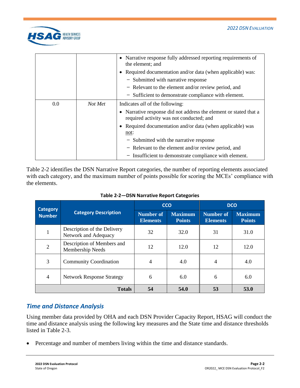

|     |         | • Narrative response fully addressed reporting requirements of<br>the element; and                            |
|-----|---------|---------------------------------------------------------------------------------------------------------------|
|     |         | • Required documentation and/or data (when applicable) was:                                                   |
|     |         | - Submitted with narrative response                                                                           |
|     |         | - Relevant to the element and/or review period, and                                                           |
|     |         | - Sufficient to demonstrate compliance with element.                                                          |
| 0.0 | Not Met | Indicates <i>all</i> of the following:                                                                        |
|     |         | • Narrative response did not address the element or stated that a<br>required activity was not conducted; and |
|     |         | • Required documentation and/or data (when applicable) was<br>not:                                            |
|     |         | - Submitted with the narrative response                                                                       |
|     |         | - Relevant to the element and/or review period, and                                                           |
|     |         |                                                                                                               |

[Table 2-2](#page-7-1) identifies the DSN Narrative Report categories, the number of reporting elements associated with each category, and the maximum number of points possible for scoring the MCEs' compliance with the elements.

<span id="page-7-1"></span>

| <b>Category</b> |                                                     | <b>CCO</b><br><b>DCO</b>            |                                 |                                     |                                 |
|-----------------|-----------------------------------------------------|-------------------------------------|---------------------------------|-------------------------------------|---------------------------------|
| <b>Number</b>   | <b>Category Description</b>                         | <b>Number of</b><br><b>Elements</b> | <b>Maximum</b><br><b>Points</b> | <b>Number of</b><br><b>Elements</b> | <b>Maximum</b><br><b>Points</b> |
|                 | Description of the Delivery<br>Network and Adequacy | 32                                  | 32.0                            | 31                                  | 31.0                            |
| $\overline{2}$  | Description of Members and<br>Membership Needs      | 12                                  | 12.0                            | 12                                  | 12.0                            |
| 3               | <b>Community Coordination</b>                       | 4                                   | 4.0                             | $\overline{4}$                      | 4.0                             |
| $\overline{4}$  | <b>Network Response Strategy</b>                    | 6                                   | 6.0                             | 6                                   | 6.0                             |
|                 | <b>Totals</b>                                       | 54                                  | 54.0                            | 53                                  | 53.0                            |

**Table 2-2—DSN Narrative Report Categories**

### <span id="page-7-0"></span>*Time and Distance Analysis*

Using member data provided by OHA and each DSN Provider Capacity Report, HSAG will conduct the time and distance analysis using the following key measures and the State time and distance thresholds listed in [Table 2-3.](#page-8-1)

Percentage and number of members living within the time and distance standards.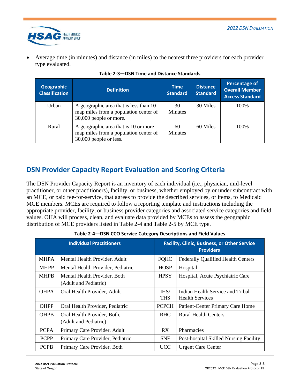

• Average time (in minutes) and distance (in miles) to the nearest three providers for each provider type evaluated.

<span id="page-8-1"></span>

| Geographic<br><b>Classification</b> | <b>Definition</b>                                                                                         | <b>Time</b><br><b>Standard</b> | <b>Distance</b><br><b>Standard</b> | Percentage of<br><b>Overall Member</b><br><b>Access Standard</b> |
|-------------------------------------|-----------------------------------------------------------------------------------------------------------|--------------------------------|------------------------------------|------------------------------------------------------------------|
| Urban                               | A geographic area that is less than 10<br>map miles from a population center of<br>30,000 people or more. | 30<br><b>Minutes</b>           | 30 Miles                           | 100\%                                                            |
| Rural                               | A geographic area that is 10 or more<br>map miles from a population center of<br>30,000 people or less.   | 60<br><b>Minutes</b>           | 60 Miles                           | 100\%                                                            |

### <span id="page-8-0"></span>**DSN Provider Capacity Report Evaluation and Scoring Criteria**

The DSN Provider Capacity Report is an inventory of each individual (i.e., physician, mid-level practitioner, or other practitioners), facility, or business, whether employed by or under subcontract with an MCE, or paid fee-for-service, that agrees to provide the described services, or items, to Medicaid MCE members. MCEs are required to follow a reporting template and instructions including the appropriate provider, facility, or business provider categories and associated service categories and field values. OHA will process, clean, and evaluate data provided by MCEs to assess the geographic distribution of MCE providers listed in [Table 2-4](#page-8-2) and [Table 2-5](#page-9-0) by MCE type.

<span id="page-8-2"></span>

| <b>Individual Practitioners</b> |                                                       |                    | <b>Facility, Clinic, Business, or Other Service</b><br><b>Providers</b> |  |
|---------------------------------|-------------------------------------------------------|--------------------|-------------------------------------------------------------------------|--|
| <b>MHPA</b>                     | Mental Health Provider, Adult                         | <b>FQHC</b>        | <b>Federally Qualified Health Centers</b>                               |  |
| <b>MHPP</b>                     | Mental Health Provider, Pediatric                     | <b>HOSP</b>        | Hospital                                                                |  |
| <b>MHPB</b>                     | Mental Health Provider, Both<br>(Adult and Pediatric) | <b>HPSY</b>        | Hospital, Acute Psychiatric Care                                        |  |
| <b>OHPA</b>                     | Oral Health Provider, Adult                           | IHS/<br><b>THS</b> | Indian Health Service and Tribal<br><b>Health Services</b>              |  |
| OHPP                            | Oral Health Provider, Pediatric                       | <b>PCPCH</b>       | <b>Patient-Center Primary Care Home</b>                                 |  |
| <b>OHPB</b>                     | Oral Health Provider, Both,<br>(Adult and Pediatric)  | <b>RHC</b>         | <b>Rural Health Centers</b>                                             |  |
| <b>PCPA</b>                     | Primary Care Provider, Adult                          | RX.                | Pharmacies                                                              |  |
| <b>PCPP</b>                     | Primary Care Provider, Pediatric                      | <b>SNF</b>         | Post-hospital Skilled Nursing Facility                                  |  |
| <b>PCPB</b>                     | Primary Care Provider, Both                           | <b>UCC</b>         | <b>Urgent Care Center</b>                                               |  |

**Table 2-4—DSN CCO Service Category Descriptions and Field Values**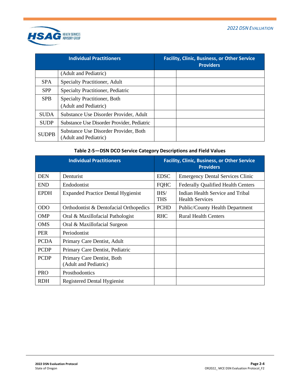

|              | <b>Individual Practitioners</b>                                | <b>Facility, Clinic, Business, or Other Service</b><br><b>Providers</b> |
|--------------|----------------------------------------------------------------|-------------------------------------------------------------------------|
|              | (Adult and Pediatric)                                          |                                                                         |
| <b>SPA</b>   | Specialty Practitioner, Adult                                  |                                                                         |
| <b>SPP</b>   | Specialty Practitioner, Pediatric                              |                                                                         |
| <b>SPB</b>   | <b>Specialty Practitioner, Both</b>                            |                                                                         |
|              | (Adult and Pediatric)                                          |                                                                         |
| <b>SUDA</b>  | Substance Use Disorder Provider, Adult                         |                                                                         |
| <b>SUDP</b>  | Substance Use Disorder Provider, Pediatric                     |                                                                         |
| <b>SUDPB</b> | Substance Use Disorder Provider, Both<br>(Adult and Pediatric) |                                                                         |

#### **Table 2-5—DSN DCO Service Category Descriptions and Field Values**

<span id="page-9-0"></span>

|             | <b>Individual Practitioners</b>                     |                    | <b>Facility, Clinic, Business, or Other Service</b><br><b>Providers</b> |
|-------------|-----------------------------------------------------|--------------------|-------------------------------------------------------------------------|
| <b>DEN</b>  | Denturist                                           | <b>EDSC</b>        | <b>Emergency Dental Services Clinic</b>                                 |
| <b>END</b>  | Endodontist                                         | <b>FQHC</b>        | <b>Federally Qualified Health Centers</b>                               |
| <b>EPDH</b> | <b>Expanded Practice Dental Hygienist</b>           | IHS/<br><b>THS</b> | Indian Health Service and Tribal<br><b>Health Services</b>              |
| <b>ODO</b>  | Orthodontist & Dentofacial Orthopedics              | <b>PCHD</b>        | <b>Public/County Health Department</b>                                  |
| <b>OMP</b>  | Oral & Maxillofacial Pathologist                    | <b>RHC</b>         | <b>Rural Health Centers</b>                                             |
| <b>OMS</b>  | Oral & Maxillofacial Surgeon                        |                    |                                                                         |
| <b>PER</b>  | Periodontist                                        |                    |                                                                         |
| <b>PCDA</b> | Primary Care Dentist, Adult                         |                    |                                                                         |
| <b>PCDP</b> | Primary Care Dentist, Pediatric                     |                    |                                                                         |
| <b>PCDP</b> | Primary Care Dentist, Both<br>(Adult and Pediatric) |                    |                                                                         |
| <b>PRO</b>  | Prosthodontics                                      |                    |                                                                         |
| <b>RDH</b>  | <b>Registered Dental Hygienist</b>                  |                    |                                                                         |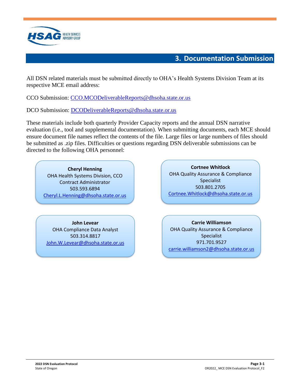

### **3. Documentation Submission**

<span id="page-10-0"></span>All DSN related materials must be submitted directly to OHA's Health Systems Division Team at its respective MCE email address:

CCO Submission: [CCO.MCODeliverableReports@dhsoha.state.or.us](mailto:CCO.MCODeliverableReports@dhsoha.state.or.us)

DCO Submission: [DCODeliverableReports@dhsoha.state.or.us](mailto:DCODeliverableReports@dhsoha.state.or.us)

These materials include both quarterly Provider Capacity reports and the annual DSN narrative evaluation (i.e., tool and supplemental documentation). When submitting documents, each MCE should ensure document file names reflect the contents of the file. Large files or large numbers of files should be submitted as .zip files. Difficulties or questions regarding DSN deliverable submissions can be directed to the following OHA personnel:

**Cheryl Henning** OHA Health Systems Division, CCO Contract Administrator 503.593.6894 [Cheryl.L.Henning@dhsoha.state.or.us](mailto:Cheryl.L.Henning@dhsoha.state.or.us)

**John Levear** OHA Compliance Data Analyst 503.314.8817 [John.W.Levear@dhsoha.state.or.us](mailto:John.W.Levear@dhsoha.state.or.us)

**Cortnee Whitlock** OHA Quality Assurance & Compliance Specialist 503.801.2705 [Cortnee.Whitlock@dhsoha.state.or.us](mailto:Cortnee.Whitlock@dhsoha.state.or.us)

**Carrie Williamson** OHA Quality Assurance & Compliance Specialist 971.701.9527 [carrie.williamson2@dhsoha.state.or.us](mailto:carrie.williamson2@dhsoha.state.or.us)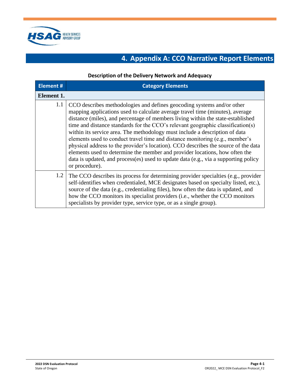<span id="page-11-0"></span>

## **4. Appendix A: CCO Narrative Report Elements**

#### **Description of the Delivery Network and Adequacy**

| <b>Element#</b> | <b>Category Elements</b>                                                                                                                                                                                                                                                                                                                                                                                                                                                                                                                                                                                                                                                                                                                                                   |
|-----------------|----------------------------------------------------------------------------------------------------------------------------------------------------------------------------------------------------------------------------------------------------------------------------------------------------------------------------------------------------------------------------------------------------------------------------------------------------------------------------------------------------------------------------------------------------------------------------------------------------------------------------------------------------------------------------------------------------------------------------------------------------------------------------|
| Element 1.      |                                                                                                                                                                                                                                                                                                                                                                                                                                                                                                                                                                                                                                                                                                                                                                            |
| 1.1             | CCO describes methodologies and defines geocoding systems and/or other<br>mapping applications used to calculate average travel time (minutes), average<br>distance (miles), and percentage of members living within the state-established<br>time and distance standards for the CCO's relevant geographic classification(s)<br>within its service area. The methodology must include a description of data<br>elements used to conduct travel time and distance monitoring (e.g., member's<br>physical address to the provider's location). CCO describes the source of the data<br>elements used to determine the member and provider locations, how often the<br>data is updated, and process(es) used to update data (e.g., via a supporting policy<br>or procedure). |
| 1.2             | The CCO describes its process for determining provider specialties (e.g., provider<br>self-identifies when credentialed, MCE designates based on specialty listed, etc.),<br>source of the data (e.g., credentialing files), how often the data is updated, and<br>how the CCO monitors its specialist providers (i.e., whether the CCO monitors<br>specialists by provider type, service type, or as a single group).                                                                                                                                                                                                                                                                                                                                                     |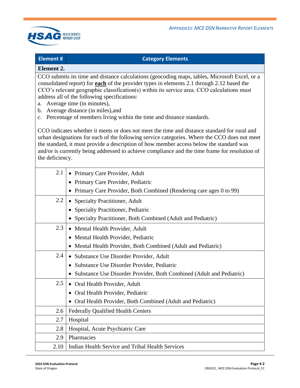

#### **Element # Category Elements**

#### **Element 2.**

CCO submits its time and distance calculations (geocoding maps, tables, Microsoft Excel, or a consolidated report) for **each** of the provider types in elements 2.1 through 2.12 based the CCO's relevant geographic classification(s) within its service area. CCO calculations must address all of the following specifications:

- a. Average time (in minutes),
- b. Average distance (in miles),and
- c. Percentage of members living within the time and distance standards.

CCO indicates whether it meets or does not meet the time and distance standard for rural and urban designations for each of the following service categories. Where the CCO does not meet the standard, it must provide a description of how member access below the standard was and/or is currently being addressed to achieve compliance and the time frame for resolution of the deficiency.

| 2.1  | • Primary Care Provider, Adult                                         |
|------|------------------------------------------------------------------------|
|      | • Primary Care Provider, Pediatric                                     |
|      | • Primary Care Provider, Both Combined (Rendering care ages 0 to 99)   |
| 2.2  | • Specialty Practitioner, Adult                                        |
|      | Specialty Practitioner, Pediatric                                      |
|      | • Specialty Practitioner, Both Combined (Adult and Pediatric)          |
| 2.3  | • Mental Health Provider, Adult                                        |
|      | • Mental Health Provider, Pediatric                                    |
|      | • Mental Health Provider, Both Combined (Adult and Pediatric)          |
| 2.4  | • Substance Use Disorder Provider, Adult                               |
|      | Substance Use Disorder Provider, Pediatric<br>$\bullet$                |
|      | • Substance Use Disorder Provider, Both Combined (Adult and Pediatric) |
| 2.5  | • Oral Health Provider, Adult                                          |
|      | Oral Health Provider, Pediatric                                        |
|      | Oral Health Provider, Both Combined (Adult and Pediatric)              |
| 2.6  | <b>Federally Qualified Health Centers</b>                              |
| 2.7  | Hospital                                                               |
| 2.8  | Hospital, Acute Psychiatric Care                                       |
| 2.9  | Pharmacies                                                             |
| 2.10 | Indian Health Service and Tribal Health Services                       |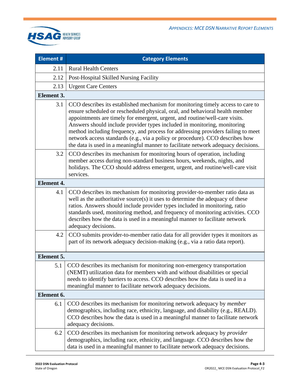

| Element #         | <b>Category Elements</b>                                                                                                                                                                                                                                                                                                                                                                                                                                                                                                                                                             |  |
|-------------------|--------------------------------------------------------------------------------------------------------------------------------------------------------------------------------------------------------------------------------------------------------------------------------------------------------------------------------------------------------------------------------------------------------------------------------------------------------------------------------------------------------------------------------------------------------------------------------------|--|
| 2.11              | <b>Rural Health Centers</b>                                                                                                                                                                                                                                                                                                                                                                                                                                                                                                                                                          |  |
| 2.12              | Post-Hospital Skilled Nursing Facility                                                                                                                                                                                                                                                                                                                                                                                                                                                                                                                                               |  |
| 2.13              | <b>Urgent Care Centers</b>                                                                                                                                                                                                                                                                                                                                                                                                                                                                                                                                                           |  |
| Element 3.        |                                                                                                                                                                                                                                                                                                                                                                                                                                                                                                                                                                                      |  |
| 3.1               | CCO describes its established mechanism for monitoring timely access to care to<br>ensure scheduled or rescheduled physical, oral, and behavioral health member<br>appointments are timely for emergent, urgent, and routine/well-care visits.<br>Answers should include provider types included in monitoring, monitoring<br>method including frequency, and process for addressing providers failing to meet<br>network access standards (e.g., via a policy or procedure). CCO describes how<br>the data is used in a meaningful manner to facilitate network adequacy decisions. |  |
| 3.2               | CCO describes its mechanism for monitoring hours of operation, including<br>member access during non-standard business hours, weekends, nights, and<br>holidays. The CCO should address emergent, urgent, and routine/well-care visit<br>services.                                                                                                                                                                                                                                                                                                                                   |  |
| <b>Element 4.</b> |                                                                                                                                                                                                                                                                                                                                                                                                                                                                                                                                                                                      |  |
| 4.1               | CCO describes its mechanism for monitoring provider-to-member ratio data as<br>well as the authoritative source(s) it uses to determine the adequacy of these<br>ratios. Answers should include provider types included in monitoring, ratio<br>standards used, monitoring method, and frequency of monitoring activities. CCO<br>describes how the data is used in a meaningful manner to facilitate network<br>adequacy decisions.                                                                                                                                                 |  |
| 4.2               | CCO submits provider-to-member ratio data for all provider types it monitors as<br>part of its network adequacy decision-making (e.g., via a ratio data report).                                                                                                                                                                                                                                                                                                                                                                                                                     |  |
| Element 5.        |                                                                                                                                                                                                                                                                                                                                                                                                                                                                                                                                                                                      |  |
| 5.1               | CCO describes its mechanism for monitoring non-emergency transportation<br>(NEMT) utilization data for members with and without disabilities or special<br>needs to identify barriers to access. CCO describes how the data is used in a<br>meaningful manner to facilitate network adequacy decisions.                                                                                                                                                                                                                                                                              |  |
| Element 6.        |                                                                                                                                                                                                                                                                                                                                                                                                                                                                                                                                                                                      |  |
| 6.1               | CCO describes its mechanism for monitoring network adequacy by <i>member</i><br>demographics, including race, ethnicity, language, and disability (e.g., REALD).<br>CCO describes how the data is used in a meaningful manner to facilitate network<br>adequacy decisions.                                                                                                                                                                                                                                                                                                           |  |
| 6.2               | CCO describes its mechanism for monitoring network adequacy by <i>provider</i><br>demographics, including race, ethnicity, and language. CCO describes how the<br>data is used in a meaningful manner to facilitate network adequacy decisions.                                                                                                                                                                                                                                                                                                                                      |  |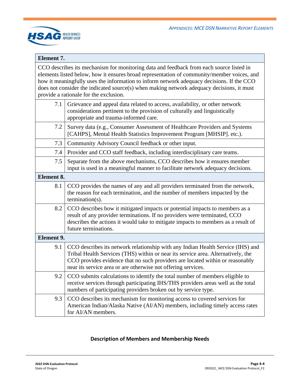

#### **Element 7.**

CCO describes its mechanism for monitoring data and feedback from each source listed in elements listed below, how it ensures broad representation of community/member voices, and how it meaningfully uses the information to inform network adequacy decisions. If the CCO does not consider the indicated source(s) when making network adequacy decisions, it must provide a rationale for the exclusion.

| 7.1               | Grievance and appeal data related to access, availability, or other network<br>considerations pertinent to the provision of culturally and linguistically<br>appropriate and trauma-informed care.                                                                                                                    |
|-------------------|-----------------------------------------------------------------------------------------------------------------------------------------------------------------------------------------------------------------------------------------------------------------------------------------------------------------------|
| 7.2               | Survey data (e.g., Consumer Assessment of Healthcare Providers and Systems<br>[CAHPS], Mental Health Statistics Improvement Program [MHSIP]. etc.).                                                                                                                                                                   |
| 7.3               | Community Advisory Council feedback or other input.                                                                                                                                                                                                                                                                   |
| 7.4               | Provider and CCO staff feedback, including interdisciplinary care teams.                                                                                                                                                                                                                                              |
| 7.5               | Separate from the above mechanisms, CCO describes how it ensures member<br>input is used in a meaningful manner to facilitate network adequacy decisions.                                                                                                                                                             |
| Element 8.        |                                                                                                                                                                                                                                                                                                                       |
| 8.1               | CCO provides the names of any and all providers terminated from the network,<br>the reason for each termination, and the number of members impacted by the<br>$t$ ermination(s).                                                                                                                                      |
| 8.2               | CCO describes how it mitigated impacts or potential impacts to members as a<br>result of any provider terminations. If no providers were terminated, CCO<br>describes the actions it would take to mitigate impacts to members as a result of<br>future terminations.                                                 |
| <b>Element 9.</b> |                                                                                                                                                                                                                                                                                                                       |
| 9.1               | CCO describes its network relationship with any Indian Health Service (IHS) and<br>Tribal Health Services (THS) within or near its service area. Alternatively, the<br>CCO provides evidence that no such providers are located within or reasonably<br>near its service area or are otherwise not offering services. |
| 9.2               | CCO submits calculations to identify the total number of members eligible to<br>receive services through participating IHS/THS providers areas well as the total<br>numbers of participating providers broken out by service type.                                                                                    |
| 9.3               | CCO describes its mechanism for monitoring access to covered services for<br>American Indian/Alaska Native (AI/AN) members, including timely access rates<br>for AI/AN members.                                                                                                                                       |

#### **Description of Members and Membership Needs**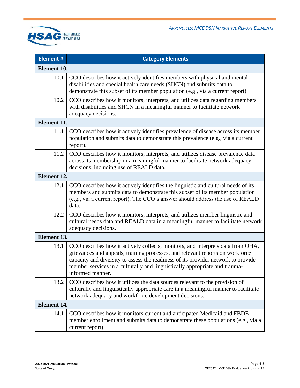

| <b>Element#</b> | <b>Category Elements</b>                                                                                                                                                                                                                                                                                                                                |  |  |
|-----------------|---------------------------------------------------------------------------------------------------------------------------------------------------------------------------------------------------------------------------------------------------------------------------------------------------------------------------------------------------------|--|--|
|                 | Element 10.                                                                                                                                                                                                                                                                                                                                             |  |  |
| 10.1            | CCO describes how it actively identifies members with physical and mental<br>disabilities and special health care needs (SHCN) and submits data to<br>demonstrate this subset of its member population (e.g., via a current report).                                                                                                                    |  |  |
| 10.2            | CCO describes how it monitors, interprets, and utilizes data regarding members<br>with disabilities and SHCN in a meaningful manner to facilitate network<br>adequacy decisions.                                                                                                                                                                        |  |  |
| Element 11.     |                                                                                                                                                                                                                                                                                                                                                         |  |  |
| 11.1            | CCO describes how it actively identifies prevalence of disease across its member<br>population and submits data to demonstrate this prevalence (e.g., via a current<br>report).                                                                                                                                                                         |  |  |
| 11.2            | CCO describes how it monitors, interprets, and utilizes disease prevalence data<br>across its membership in a meaningful manner to facilitate network adequacy<br>decisions, including use of REALD data.                                                                                                                                               |  |  |
| Element 12.     |                                                                                                                                                                                                                                                                                                                                                         |  |  |
| 12.1            | CCO describes how it actively identifies the linguistic and cultural needs of its<br>members and submits data to demonstrate this subset of its member population<br>(e.g., via a current report). The CCO's answer should address the use of REALD<br>data.                                                                                            |  |  |
| 12.2            | CCO describes how it monitors, interprets, and utilizes member linguistic and<br>cultural needs data and REALD data in a meaningful manner to facilitate network<br>adequacy decisions.                                                                                                                                                                 |  |  |
|                 | Element 13.                                                                                                                                                                                                                                                                                                                                             |  |  |
| 13.1            | CCO describes how it actively collects, monitors, and interprets data from OHA,<br>grievances and appeals, training processes, and relevant reports on workforce<br>capacity and diversity to assess the readiness of its provider network to provide<br>member services in a culturally and linguistically appropriate and trauma-<br>informed manner. |  |  |
| 13.2            | CCO describes how it utilizes the data sources relevant to the provision of<br>culturally and linguistically appropriate care in a meaningful manner to facilitate<br>network adequacy and workforce development decisions.                                                                                                                             |  |  |
|                 | <b>Element 14.</b>                                                                                                                                                                                                                                                                                                                                      |  |  |
| 14.1            | CCO describes how it monitors current and anticipated Medicaid and FBDE<br>member enrollment and submits data to demonstrate these populations (e.g., via a<br>current report).                                                                                                                                                                         |  |  |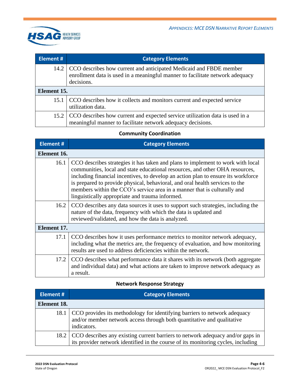

| Element #   | <b>Category Elements</b>                                                                                                                                               |
|-------------|------------------------------------------------------------------------------------------------------------------------------------------------------------------------|
|             | 14.2 CCO describes how current and anticipated Medicaid and FBDE member<br>enrollment data is used in a meaningful manner to facilitate network adequacy<br>decisions. |
| Element 15. |                                                                                                                                                                        |
| 15.1        | CCO describes how it collects and monitors current and expected service<br>utilization data.                                                                           |
|             | 15.2 CCO describes how current and expected service utilization data is used in a<br>meaningful manner to facilitate network adequacy decisions.                       |

### **Community Coordination**

| <b>Element #</b> | <b>Category Elements</b>                                                                                                                                                                                                                                                                                                                                                                                                                                            |
|------------------|---------------------------------------------------------------------------------------------------------------------------------------------------------------------------------------------------------------------------------------------------------------------------------------------------------------------------------------------------------------------------------------------------------------------------------------------------------------------|
| Element 16.      |                                                                                                                                                                                                                                                                                                                                                                                                                                                                     |
| 16.1             | CCO describes strategies it has taken and plans to implement to work with local<br>communities, local and state educational resources, and other OHA resources,<br>including financial incentives, to develop an action plan to ensure its workforce<br>is prepared to provide physical, behavioral, and oral health services to the<br>members within the CCO's service area in a manner that is culturally and<br>linguistically appropriate and trauma informed. |
| 16.2             | CCO describes any data sources it uses to support such strategies, including the<br>nature of the data, frequency with which the data is updated and<br>reviewed/validated, and how the data is analyzed.                                                                                                                                                                                                                                                           |
| Element 17.      |                                                                                                                                                                                                                                                                                                                                                                                                                                                                     |
| 17.1             | CCO describes how it uses performance metrics to monitor network adequacy,<br>including what the metrics are, the frequency of evaluation, and how monitoring<br>results are used to address deficiencies within the network.                                                                                                                                                                                                                                       |
| 17.2             | CCO describes what performance data it shares with its network (both aggregate<br>and individual data) and what actions are taken to improve network adequacy as<br>a result.                                                                                                                                                                                                                                                                                       |

### **Network Response Strategy**

| <b>Element #</b> | <b>Category Elements</b>                                                                                                                                                 |
|------------------|--------------------------------------------------------------------------------------------------------------------------------------------------------------------------|
| Element 18.      |                                                                                                                                                                          |
|                  | 18.1 CCO provides its methodology for identifying barriers to network adequacy<br>and/or member network access through both quantitative and qualitative<br>indicators.  |
|                  | 18.2 CCO describes any existing current barriers to network adequacy and/or gaps in<br>its provider network identified in the course of its monitoring cycles, including |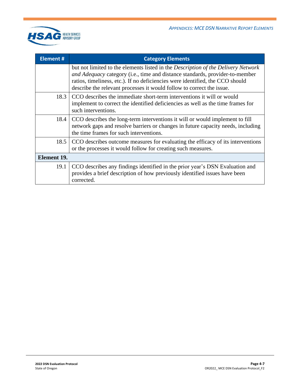

| <b>Element #</b> | <b>Category Elements</b>                                                                                                                                                                                                                                                                                                           |
|------------------|------------------------------------------------------------------------------------------------------------------------------------------------------------------------------------------------------------------------------------------------------------------------------------------------------------------------------------|
|                  | but not limited to the elements listed in the <i>Description of the Delivery Network</i><br>and Adequacy category (i.e., time and distance standards, provider-to-member<br>ratios, timeliness, etc.). If no deficiencies were identified, the CCO should<br>describe the relevant processes it would follow to correct the issue. |
| 18.3             | CCO describes the immediate short-term interventions it will or would<br>implement to correct the identified deficiencies as well as the time frames for<br>such interventions.                                                                                                                                                    |
| 18.4             | CCO describes the long-term interventions it will or would implement to fill<br>network gaps and resolve barriers or changes in future capacity needs, including<br>the time frames for such interventions.                                                                                                                        |
| 18.5             | CCO describes outcome measures for evaluating the efficacy of its interventions<br>or the processes it would follow for creating such measures.                                                                                                                                                                                    |
| Element 19.      |                                                                                                                                                                                                                                                                                                                                    |
| 19.1             | CCO describes any findings identified in the prior year's DSN Evaluation and<br>provides a brief description of how previously identified issues have been<br>corrected.                                                                                                                                                           |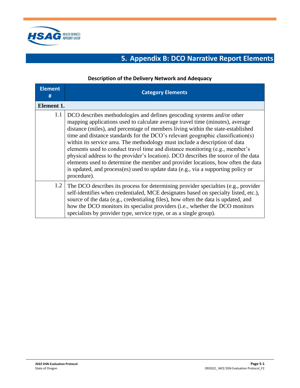<span id="page-18-0"></span>

## **5. Appendix B: DCO Narrative Report Elements**

#### **Description of the Delivery Network and Adequacy**

| <b>Element</b><br># | <b>Category Elements</b>                                                                                                                                                                                                                                                                                                                                                                                                                                                                                                                                                                                                                                                                                                                                                   |
|---------------------|----------------------------------------------------------------------------------------------------------------------------------------------------------------------------------------------------------------------------------------------------------------------------------------------------------------------------------------------------------------------------------------------------------------------------------------------------------------------------------------------------------------------------------------------------------------------------------------------------------------------------------------------------------------------------------------------------------------------------------------------------------------------------|
| Element 1.          |                                                                                                                                                                                                                                                                                                                                                                                                                                                                                                                                                                                                                                                                                                                                                                            |
| 1.1                 | DCO describes methodologies and defines geocoding systems and/or other<br>mapping applications used to calculate average travel time (minutes), average<br>distance (miles), and percentage of members living within the state-established<br>time and distance standards for the DCO's relevant geographic classification(s)<br>within its service area. The methodology must include a description of data<br>elements used to conduct travel time and distance monitoring (e.g., member's<br>physical address to the provider's location). DCO describes the source of the data<br>elements used to determine the member and provider locations, how often the data<br>is updated, and process(es) used to update data (e.g., via a supporting policy or<br>procedure). |
| 1.2                 | The DCO describes its process for determining provider specialties (e.g., provider<br>self-identifies when credentialed, MCE designates based on specialty listed, etc.),<br>source of the data (e.g., credentialing files), how often the data is updated, and<br>how the DCO monitors its specialist providers (i.e., whether the DCO monitors<br>specialists by provider type, service type, or as a single group).                                                                                                                                                                                                                                                                                                                                                     |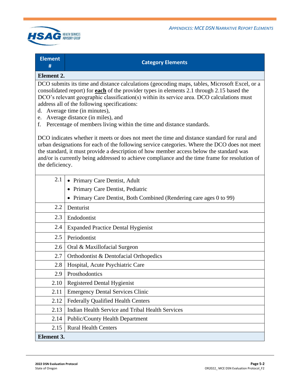

#### **Element #**

#### **Category Elements**

#### **Element 2.**

DCO submits its time and distance calculations (geocoding maps, tables, Microsoft Excel, or a consolidated report) for **each** of the provider types in elements 2.1 through 2.15 based the DCO's relevant geographic classification(s) within its service area. DCO calculations must address all of the following specifications:

- d. Average time (in minutes),
- e. Average distance (in miles), and
- f. Percentage of members living within the time and distance standards.

DCO indicates whether it meets or does not meet the time and distance standard for rural and urban designations for each of the following service categories. Where the DCO does not meet the standard, it must provide a description of how member access below the standard was and/or is currently being addressed to achieve compliance and the time frame for resolution of the deficiency.

| 2.1               | • Primary Care Dentist, Adult                                     |
|-------------------|-------------------------------------------------------------------|
|                   | • Primary Care Dentist, Pediatric                                 |
|                   | Primary Care Dentist, Both Combined (Rendering care ages 0 to 99) |
| 2.2               | Denturist                                                         |
| 2.3               | Endodontist                                                       |
| 2.4               | <b>Expanded Practice Dental Hygienist</b>                         |
| 2.5               | Periodontist                                                      |
| 2.6               | Oral & Maxillofacial Surgeon                                      |
| 2.7               | Orthodontist & Dentofacial Orthopedics                            |
| 2.8               | Hospital, Acute Psychiatric Care                                  |
| 2.9               | Prosthodontics                                                    |
| 2.10              | <b>Registered Dental Hygienist</b>                                |
| 2.11              | <b>Emergency Dental Services Clinic</b>                           |
| 2.12              | <b>Federally Qualified Health Centers</b>                         |
| 2.13              | Indian Health Service and Tribal Health Services                  |
| 2.14              | <b>Public/County Health Department</b>                            |
| 2.15              | <b>Rural Health Centers</b>                                       |
| <b>Element 3.</b> |                                                                   |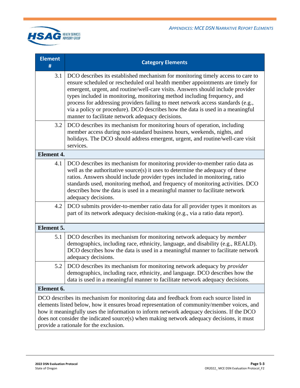

| <b>Element</b><br>#                                                                                                                                                                                                                                                                                                                                                                                                       | <b>Category Elements</b>                                                                                                                                                                                                                                                                                                                                                                                                                                                                                                                                   |  |
|---------------------------------------------------------------------------------------------------------------------------------------------------------------------------------------------------------------------------------------------------------------------------------------------------------------------------------------------------------------------------------------------------------------------------|------------------------------------------------------------------------------------------------------------------------------------------------------------------------------------------------------------------------------------------------------------------------------------------------------------------------------------------------------------------------------------------------------------------------------------------------------------------------------------------------------------------------------------------------------------|--|
| 3.1                                                                                                                                                                                                                                                                                                                                                                                                                       | DCO describes its established mechanism for monitoring timely access to care to<br>ensure scheduled or rescheduled oral health member appointments are timely for<br>emergent, urgent, and routine/well-care visits. Answers should include provider<br>types included in monitoring, monitoring method including frequency, and<br>process for addressing providers failing to meet network access standards (e.g.,<br>via a policy or procedure). DCO describes how the data is used in a meaningful<br>manner to facilitate network adequacy decisions. |  |
| 3.2                                                                                                                                                                                                                                                                                                                                                                                                                       | DCO describes its mechanism for monitoring hours of operation, including<br>member access during non-standard business hours, weekends, nights, and<br>holidays. The DCO should address emergent, urgent, and routine/well-care visit<br>services.                                                                                                                                                                                                                                                                                                         |  |
| <b>Element 4.</b>                                                                                                                                                                                                                                                                                                                                                                                                         |                                                                                                                                                                                                                                                                                                                                                                                                                                                                                                                                                            |  |
| 4.1                                                                                                                                                                                                                                                                                                                                                                                                                       | DCO describes its mechanism for monitoring provider-to-member ratio data as<br>well as the authoritative source(s) it uses to determine the adequacy of these<br>ratios. Answers should include provider types included in monitoring, ratio<br>standards used, monitoring method, and frequency of monitoring activities. DCO<br>describes how the data is used in a meaningful manner to facilitate network<br>adequacy decisions.                                                                                                                       |  |
| 4.2                                                                                                                                                                                                                                                                                                                                                                                                                       | DCO submits provider-to-member ratio data for all provider types it monitors as<br>part of its network adequacy decision-making (e.g., via a ratio data report).                                                                                                                                                                                                                                                                                                                                                                                           |  |
| Element 5.                                                                                                                                                                                                                                                                                                                                                                                                                |                                                                                                                                                                                                                                                                                                                                                                                                                                                                                                                                                            |  |
| 5.1                                                                                                                                                                                                                                                                                                                                                                                                                       | DCO describes its mechanism for monitoring network adequacy by <i>member</i><br>demographics, including race, ethnicity, language, and disability (e.g., REALD).<br>DCO describes how the data is used in a meaningful manner to facilitate network<br>adequacy decisions.                                                                                                                                                                                                                                                                                 |  |
| 5.2                                                                                                                                                                                                                                                                                                                                                                                                                       | DCO describes its mechanism for monitoring network adequacy by provider<br>demographics, including race, ethnicity, and language. DCO describes how the<br>data is used in a meaningful manner to facilitate network adequacy decisions.                                                                                                                                                                                                                                                                                                                   |  |
|                                                                                                                                                                                                                                                                                                                                                                                                                           | Element 6.                                                                                                                                                                                                                                                                                                                                                                                                                                                                                                                                                 |  |
| DCO describes its mechanism for monitoring data and feedback from each source listed in<br>elements listed below, how it ensures broad representation of community/member voices, and<br>how it meaningfully uses the information to inform network adequacy decisions. If the DCO<br>does not consider the indicated source(s) when making network adequacy decisions, it must<br>provide a rationale for the exclusion. |                                                                                                                                                                                                                                                                                                                                                                                                                                                                                                                                                            |  |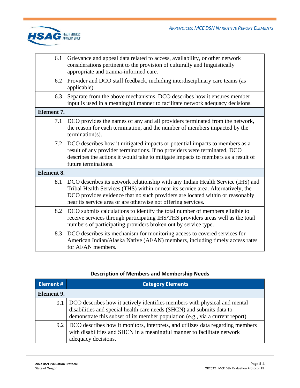

| 6.1               | Grievance and appeal data related to access, availability, or other network<br>considerations pertinent to the provision of culturally and linguistically<br>appropriate and trauma-informed care.                                                                                                                    |
|-------------------|-----------------------------------------------------------------------------------------------------------------------------------------------------------------------------------------------------------------------------------------------------------------------------------------------------------------------|
| 6.2               | Provider and DCO staff feedback, including interdisciplinary care teams (as<br>applicable).                                                                                                                                                                                                                           |
| 6.3               | Separate from the above mechanisms, DCO describes how it ensures member<br>input is used in a meaningful manner to facilitate network adequacy decisions.                                                                                                                                                             |
| <b>Element 7.</b> |                                                                                                                                                                                                                                                                                                                       |
| 7.1               | DCO provides the names of any and all providers terminated from the network,<br>the reason for each termination, and the number of members impacted by the<br>$t$ ermination(s).                                                                                                                                      |
| 7.2               | DCO describes how it mitigated impacts or potential impacts to members as a<br>result of any provider terminations. If no providers were terminated, DCO<br>describes the actions it would take to mitigate impacts to members as a result of<br>future terminations.                                                 |
| Element 8.        |                                                                                                                                                                                                                                                                                                                       |
| 8.1               | DCO describes its network relationship with any Indian Health Service (IHS) and<br>Tribal Health Services (THS) within or near its service area. Alternatively, the<br>DCO provides evidence that no such providers are located within or reasonably<br>near its service area or are otherwise not offering services. |
| 8.2               | DCO submits calculations to identify the total number of members eligible to<br>receive services through participating IHS/THS providers areas well as the total<br>numbers of participating providers broken out by service type.                                                                                    |
| 8.3               | DCO describes its mechanism for monitoring access to covered services for<br>American Indian/Alaska Native (AI/AN) members, including timely access rates<br>for AI/AN members.                                                                                                                                       |

### **Description of Members and Membership Needs**

| <b>Element #</b> | <b>Category Elements</b>                                                                                                                                                                                                             |
|------------------|--------------------------------------------------------------------------------------------------------------------------------------------------------------------------------------------------------------------------------------|
| Element 9.       |                                                                                                                                                                                                                                      |
| 9.1              | DCO describes how it actively identifies members with physical and mental<br>disabilities and special health care needs (SHCN) and submits data to<br>demonstrate this subset of its member population (e.g., via a current report). |
|                  | 9.2 DCO describes how it monitors, interprets, and utilizes data regarding members<br>with disabilities and SHCN in a meaningful manner to facilitate network<br>adequacy decisions.                                                 |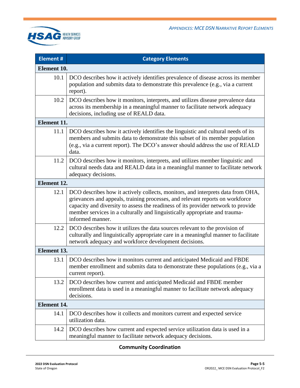

| <b>Element #</b>   | <b>Category Elements</b>                                                                                                                                                                                                                                                                                                                                |  |
|--------------------|---------------------------------------------------------------------------------------------------------------------------------------------------------------------------------------------------------------------------------------------------------------------------------------------------------------------------------------------------------|--|
| Element 10.        |                                                                                                                                                                                                                                                                                                                                                         |  |
| 10.1               | DCO describes how it actively identifies prevalence of disease across its member<br>population and submits data to demonstrate this prevalence (e.g., via a current<br>report).                                                                                                                                                                         |  |
| 10.2               | DCO describes how it monitors, interprets, and utilizes disease prevalence data<br>across its membership in a meaningful manner to facilitate network adequacy<br>decisions, including use of REALD data.                                                                                                                                               |  |
| <b>Element 11.</b> |                                                                                                                                                                                                                                                                                                                                                         |  |
| 11.1               | DCO describes how it actively identifies the linguistic and cultural needs of its<br>members and submits data to demonstrate this subset of its member population<br>(e.g., via a current report). The DCO's answer should address the use of REALD<br>data.                                                                                            |  |
| 11.2               | DCO describes how it monitors, interprets, and utilizes member linguistic and<br>cultural needs data and REALD data in a meaningful manner to facilitate network<br>adequacy decisions.                                                                                                                                                                 |  |
| Element 12.        |                                                                                                                                                                                                                                                                                                                                                         |  |
| 12.1               | DCO describes how it actively collects, monitors, and interprets data from OHA,<br>grievances and appeals, training processes, and relevant reports on workforce<br>capacity and diversity to assess the readiness of its provider network to provide<br>member services in a culturally and linguistically appropriate and trauma-<br>informed manner. |  |
| 12.2               | DCO describes how it utilizes the data sources relevant to the provision of<br>culturally and linguistically appropriate care in a meaningful manner to facilitate<br>network adequacy and workforce development decisions.                                                                                                                             |  |
| <b>Element 13.</b> |                                                                                                                                                                                                                                                                                                                                                         |  |
| 13.1               | DCO describes how it monitors current and anticipated Medicaid and FBDE<br>member enrollment and submits data to demonstrate these populations (e.g., via a<br>current report).                                                                                                                                                                         |  |
| 13.2               | DCO describes how current and anticipated Medicaid and FBDE member<br>enrollment data is used in a meaningful manner to facilitate network adequacy<br>decisions.                                                                                                                                                                                       |  |
| <b>Element 14.</b> |                                                                                                                                                                                                                                                                                                                                                         |  |
| 14.1               | DCO describes how it collects and monitors current and expected service<br>utilization data.                                                                                                                                                                                                                                                            |  |
| 14.2               | DCO describes how current and expected service utilization data is used in a<br>meaningful manner to facilitate network adequacy decisions.                                                                                                                                                                                                             |  |

### **Community Coordination**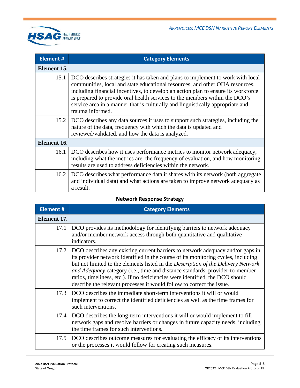

| <b>Element #</b> | <b>Category Elements</b>                                                                                                                                                                                                                                                                                                                                                                                                                  |  |
|------------------|-------------------------------------------------------------------------------------------------------------------------------------------------------------------------------------------------------------------------------------------------------------------------------------------------------------------------------------------------------------------------------------------------------------------------------------------|--|
| Element 15.      |                                                                                                                                                                                                                                                                                                                                                                                                                                           |  |
| 15.1             | DCO describes strategies it has taken and plans to implement to work with local<br>communities, local and state educational resources, and other OHA resources,<br>including financial incentives, to develop an action plan to ensure its workforce<br>is prepared to provide oral health services to the members within the DCO's<br>service area in a manner that is culturally and linguistically appropriate and<br>trauma informed. |  |
| 15.2             | DCO describes any data sources it uses to support such strategies, including the<br>nature of the data, frequency with which the data is updated and<br>reviewed/validated, and how the data is analyzed.                                                                                                                                                                                                                                 |  |
| Element 16.      |                                                                                                                                                                                                                                                                                                                                                                                                                                           |  |
| 16.1             | DCO describes how it uses performance metrics to monitor network adequacy,<br>including what the metrics are, the frequency of evaluation, and how monitoring<br>results are used to address deficiencies within the network.                                                                                                                                                                                                             |  |
| 16.2             | DCO describes what performance data it shares with its network (both aggregate<br>and individual data) and what actions are taken to improve network adequacy as<br>a result.                                                                                                                                                                                                                                                             |  |

### **Network Response Strategy**

| <b>Element #</b> | <b>Category Elements</b>                                                                                                                                                                                                                                                                                                                                                                                                                                                                           |
|------------------|----------------------------------------------------------------------------------------------------------------------------------------------------------------------------------------------------------------------------------------------------------------------------------------------------------------------------------------------------------------------------------------------------------------------------------------------------------------------------------------------------|
| Element 17.      |                                                                                                                                                                                                                                                                                                                                                                                                                                                                                                    |
| 17.1             | DCO provides its methodology for identifying barriers to network adequacy<br>and/or member network access through both quantitative and qualitative<br>indicators.                                                                                                                                                                                                                                                                                                                                 |
| 17.2             | DCO describes any existing current barriers to network adequacy and/or gaps in<br>its provider network identified in the course of its monitoring cycles, including<br>but not limited to the elements listed in the Description of the Delivery Network<br>and Adequacy category (i.e., time and distance standards, provider-to-member<br>ratios, timeliness, etc.). If no deficiencies were identified, the DCO should<br>describe the relevant processes it would follow to correct the issue. |
| 17.3             | DCO describes the immediate short-term interventions it will or would<br>implement to correct the identified deficiencies as well as the time frames for<br>such interventions.                                                                                                                                                                                                                                                                                                                    |
| 17.4             | DCO describes the long-term interventions it will or would implement to fill<br>network gaps and resolve barriers or changes in future capacity needs, including<br>the time frames for such interventions.                                                                                                                                                                                                                                                                                        |
| 17.5             | DCO describes outcome measures for evaluating the efficacy of its interventions<br>or the processes it would follow for creating such measures.                                                                                                                                                                                                                                                                                                                                                    |